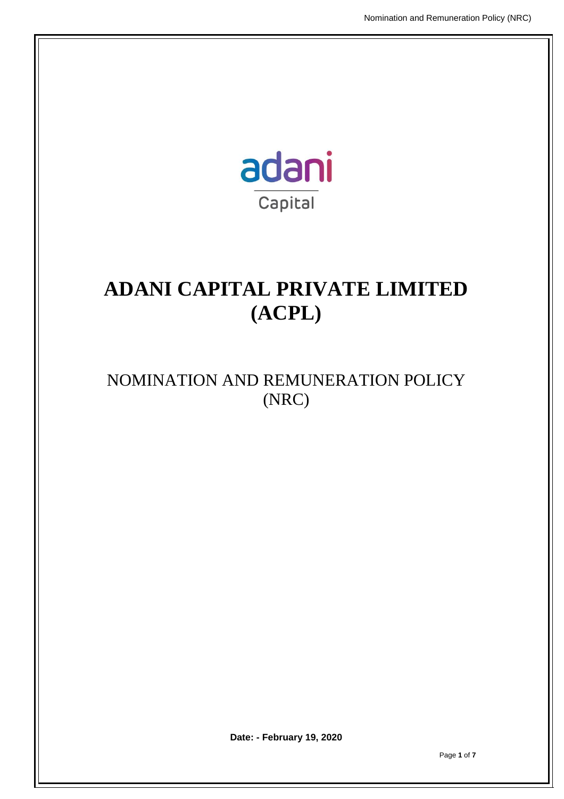

# **ADANI CAPITAL PRIVATE LIMITED (ACPL)**

# NOMINATION AND REMUNERATION POLICY (NRC)

**Date: - February 19, 2020**

Page **1** of **7**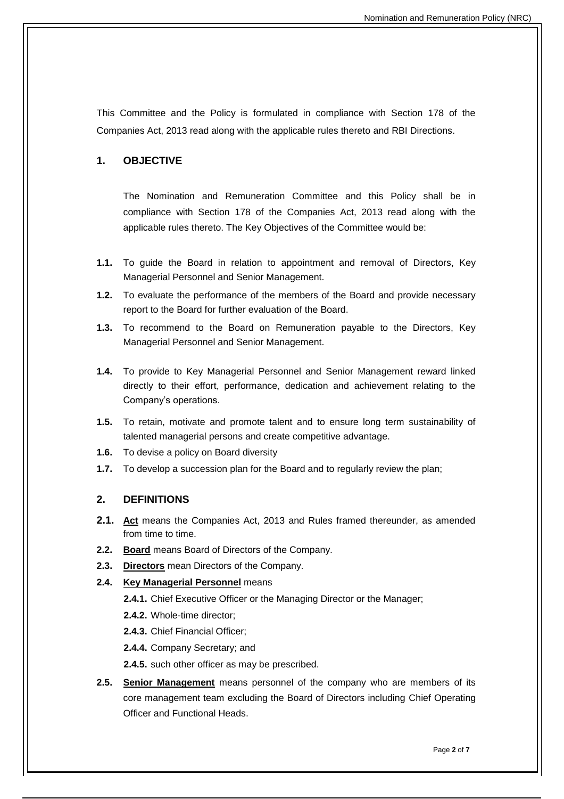This Committee and the Policy is formulated in compliance with Section 178 of the Companies Act, 2013 read along with the applicable rules thereto and RBI Directions.

# **1. OBJECTIVE**

The Nomination and Remuneration Committee and this Policy shall be in compliance with Section 178 of the Companies Act, 2013 read along with the applicable rules thereto. The Key Objectives of the Committee would be:

- **1.1.** To guide the Board in relation to appointment and removal of Directors, Key Managerial Personnel and Senior Management.
- **1.2.** To evaluate the performance of the members of the Board and provide necessary report to the Board for further evaluation of the Board.
- **1.3.** To recommend to the Board on Remuneration payable to the Directors, Key Managerial Personnel and Senior Management.
- **1.4.** To provide to Key Managerial Personnel and Senior Management reward linked directly to their effort, performance, dedication and achievement relating to the Company's operations.
- **1.5.** To retain, motivate and promote talent and to ensure long term sustainability of talented managerial persons and create competitive advantage.
- **1.6.** To devise a policy on Board diversity
- **1.7.** To develop a succession plan for the Board and to regularly review the plan;

#### **2. DEFINITIONS**

- **2.1. Act** means the Companies Act, 2013 and Rules framed thereunder, as amended from time to time.
- **2.2. Board** means Board of Directors of the Company.
- **2.3. Directors** mean Directors of the Company.

#### **2.4. Key Managerial Personnel** means

**2.4.1.** Chief Executive Officer or the Managing Director or the Manager;

**2.4.2.** Whole-time director;

**2.4.3.** Chief Financial Officer;

**2.4.4.** Company Secretary; and

**2.4.5.** such other officer as may be prescribed.

**2.5. Senior Management** means personnel of the company who are members of its core management team excluding the Board of Directors including Chief Operating Officer and Functional Heads.

Page **2** of **7**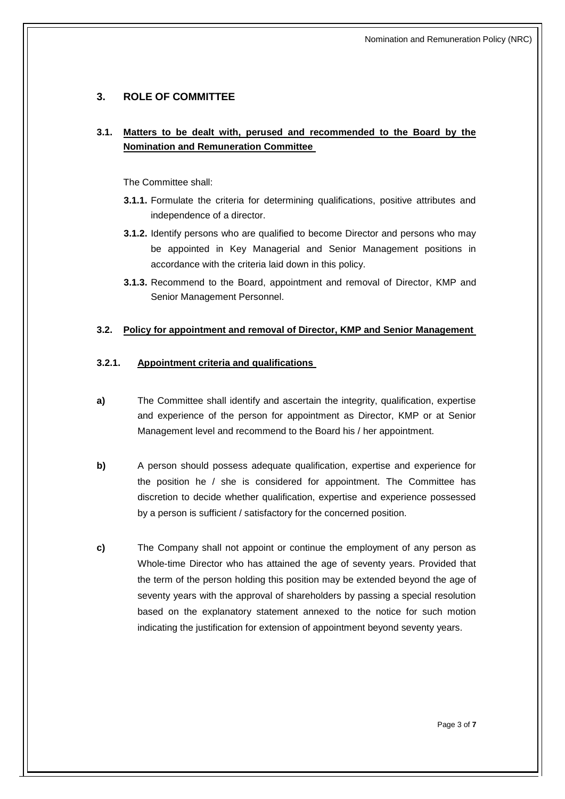# **3. ROLE OF COMMITTEE**

# **3.1. Matters to be dealt with, perused and recommended to the Board by the Nomination and Remuneration Committee**

The Committee shall:

- **3.1.1.** Formulate the criteria for determining qualifications, positive attributes and independence of a director.
- **3.1.2.** Identify persons who are qualified to become Director and persons who may be appointed in Key Managerial and Senior Management positions in accordance with the criteria laid down in this policy.
- **3.1.3.** Recommend to the Board, appointment and removal of Director, KMP and Senior Management Personnel.

#### **3.2. Policy for appointment and removal of Director, KMP and Senior Management**

#### **3.2.1. Appointment criteria and qualifications**

- **a)** The Committee shall identify and ascertain the integrity, qualification, expertise and experience of the person for appointment as Director, KMP or at Senior Management level and recommend to the Board his / her appointment.
- **b)** A person should possess adequate qualification, expertise and experience for the position he / she is considered for appointment. The Committee has discretion to decide whether qualification, expertise and experience possessed by a person is sufficient / satisfactory for the concerned position.
- **c)** The Company shall not appoint or continue the employment of any person as Whole-time Director who has attained the age of seventy years. Provided that the term of the person holding this position may be extended beyond the age of seventy years with the approval of shareholders by passing a special resolution based on the explanatory statement annexed to the notice for such motion indicating the justification for extension of appointment beyond seventy years.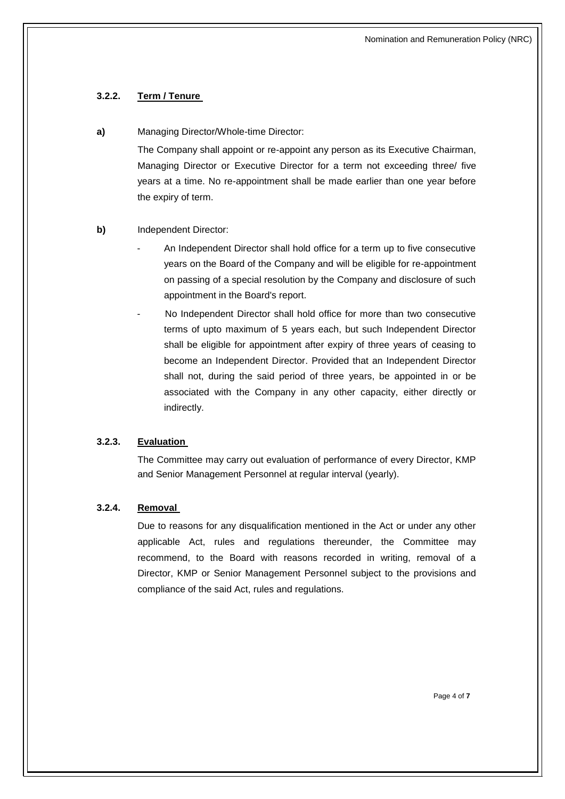# **3.2.2. Term / Tenure**

#### **a)** Managing Director/Whole-time Director:

The Company shall appoint or re-appoint any person as its Executive Chairman, Managing Director or Executive Director for a term not exceeding three/ five years at a time. No re-appointment shall be made earlier than one year before the expiry of term.

### **b)** Independent Director:

- An Independent Director shall hold office for a term up to five consecutive years on the Board of the Company and will be eligible for re-appointment on passing of a special resolution by the Company and disclosure of such appointment in the Board's report.
- No Independent Director shall hold office for more than two consecutive terms of upto maximum of 5 years each, but such Independent Director shall be eligible for appointment after expiry of three years of ceasing to become an Independent Director. Provided that an Independent Director shall not, during the said period of three years, be appointed in or be associated with the Company in any other capacity, either directly or indirectly.

#### **3.2.3. Evaluation**

The Committee may carry out evaluation of performance of every Director, KMP and Senior Management Personnel at regular interval (yearly).

## **3.2.4. Removal**

Due to reasons for any disqualification mentioned in the Act or under any other applicable Act, rules and regulations thereunder, the Committee may recommend, to the Board with reasons recorded in writing, removal of a Director, KMP or Senior Management Personnel subject to the provisions and compliance of the said Act, rules and regulations.

Page 4 of **7**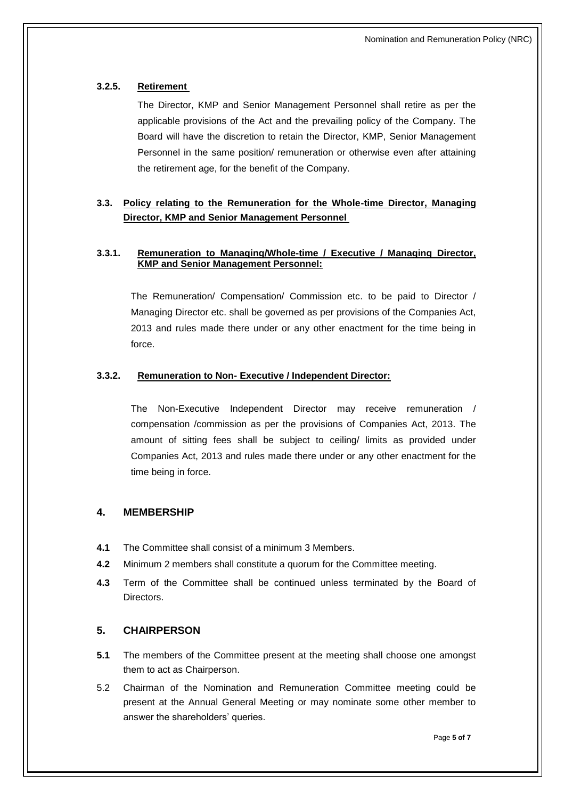## **3.2.5. Retirement**

The Director, KMP and Senior Management Personnel shall retire as per the applicable provisions of the Act and the prevailing policy of the Company. The Board will have the discretion to retain the Director, KMP, Senior Management Personnel in the same position/ remuneration or otherwise even after attaining the retirement age, for the benefit of the Company.

# **3.3. Policy relating to the Remuneration for the Whole-time Director, Managing Director, KMP and Senior Management Personnel**

#### **3.3.1. Remuneration to Managing/Whole-time / Executive / Managing Director, KMP and Senior Management Personnel:**

The Remuneration/ Compensation/ Commission etc. to be paid to Director / Managing Director etc. shall be governed as per provisions of the Companies Act, 2013 and rules made there under or any other enactment for the time being in force.

#### **3.3.2. Remuneration to Non- Executive / Independent Director:**

The Non-Executive Independent Director may receive remuneration / compensation /commission as per the provisions of Companies Act, 2013. The amount of sitting fees shall be subject to ceiling/ limits as provided under Companies Act, 2013 and rules made there under or any other enactment for the time being in force.

#### **4. MEMBERSHIP**

- **4.1** The Committee shall consist of a minimum 3 Members.
- **4.2** Minimum 2 members shall constitute a quorum for the Committee meeting.
- **4.3** Term of the Committee shall be continued unless terminated by the Board of Directors.

# **5. CHAIRPERSON**

- **5.1** The members of the Committee present at the meeting shall choose one amongst them to act as Chairperson.
- 5.2 Chairman of the Nomination and Remuneration Committee meeting could be present at the Annual General Meeting or may nominate some other member to answer the shareholders' queries.

Page **5 of 7**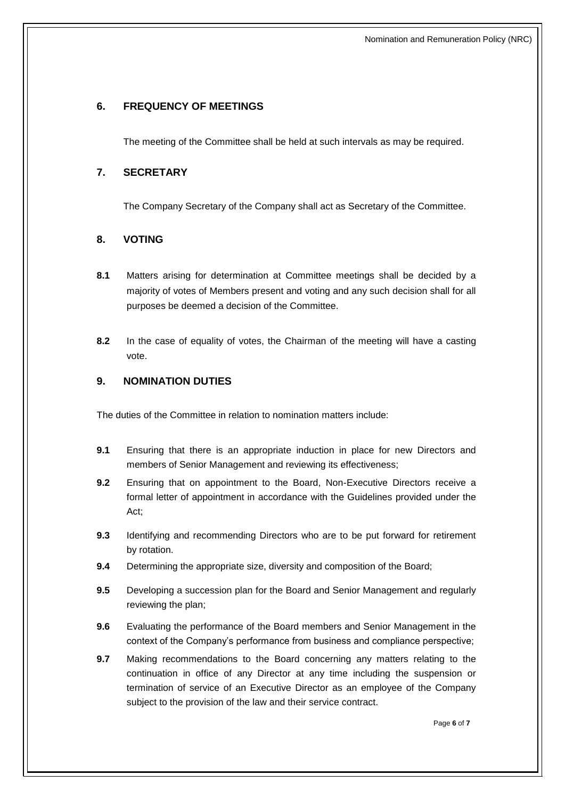# **6. FREQUENCY OF MEETINGS**

The meeting of the Committee shall be held at such intervals as may be required.

### **7. SECRETARY**

The Company Secretary of the Company shall act as Secretary of the Committee.

### **8. VOTING**

- **8.1** Matters arising for determination at Committee meetings shall be decided by a majority of votes of Members present and voting and any such decision shall for all purposes be deemed a decision of the Committee.
- **8.2** In the case of equality of votes, the Chairman of the meeting will have a casting vote.

### **9. NOMINATION DUTIES**

The duties of the Committee in relation to nomination matters include:

- **9.1** Ensuring that there is an appropriate induction in place for new Directors and members of Senior Management and reviewing its effectiveness;
- **9.2** Ensuring that on appointment to the Board, Non-Executive Directors receive a formal letter of appointment in accordance with the Guidelines provided under the Act;
- **9.3** Identifying and recommending Directors who are to be put forward for retirement by rotation.
- **9.4** Determining the appropriate size, diversity and composition of the Board;
- **9.5** Developing a succession plan for the Board and Senior Management and regularly reviewing the plan;
- **9.6** Evaluating the performance of the Board members and Senior Management in the context of the Company's performance from business and compliance perspective;
- **9.7** Making recommendations to the Board concerning any matters relating to the continuation in office of any Director at any time including the suspension or termination of service of an Executive Director as an employee of the Company subject to the provision of the law and their service contract.

Page **6** of **7**